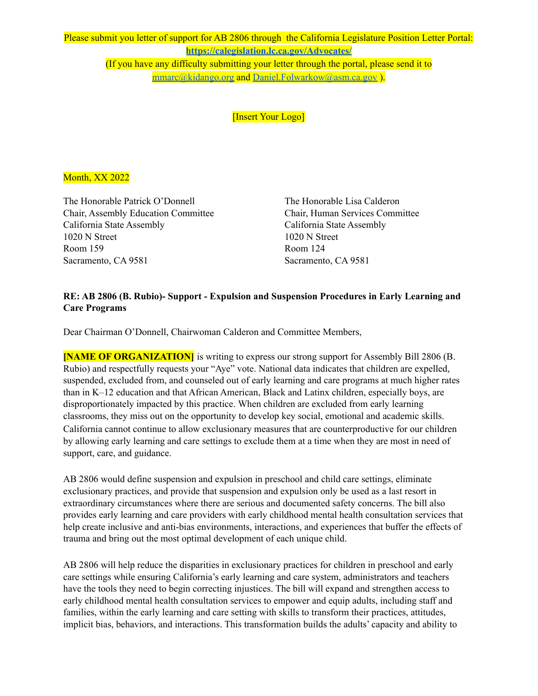Please submit you letter of support for AB 2806 through the California Legislature Position Letter Portal: **<https://calegislation.lc.ca.gov/Advocates/>** (If you have any difficulty submitting your letter through the portal, please send it to [mmarc@kidango.org](mailto:mmarc@kidango.org) and [Daniel.Folwarkow@asm.ca.gov](mailto:Daniel.Folwarkow@asm.ca.gov) ).

[Insert Your Logo]

## Month, XX 2022

The Honorable Patrick O'Donnell The Honorable Lisa Calderon Chair, Assembly Education Committee Chair, Human Services Committee California State Assembly California State Assembly 1020 N Street 1020 N Street Room 159 Room 124 Sacramento, CA 9581 Sacramento, CA 9581

## **RE: AB 2806 (B. Rubio)- Support - Expulsion and Suspension Procedures in Early Learning and Care Programs**

Dear Chairman O'Donnell, Chairwoman Calderon and Committee Members,

**[NAME OF ORGANIZATION]** is writing to express our strong support for Assembly Bill 2806 (B. Rubio) and respectfully requests your "Aye" vote. National data indicates that children are expelled, suspended, excluded from, and counseled out of early learning and care programs at much higher rates than in K–12 education and that African American, Black and Latinx children, especially boys, are disproportionately impacted by this practice. When children are excluded from early learning classrooms, they miss out on the opportunity to develop key social, emotional and academic skills. California cannot continue to allow exclusionary measures that are counterproductive for our children by allowing early learning and care settings to exclude them at a time when they are most in need of support, care, and guidance.

AB 2806 would define suspension and expulsion in preschool and child care settings, eliminate exclusionary practices, and provide that suspension and expulsion only be used as a last resort in extraordinary circumstances where there are serious and documented safety concerns. The bill also provides early learning and care providers with early childhood mental health consultation services that help create inclusive and anti-bias environments, interactions, and experiences that buffer the effects of trauma and bring out the most optimal development of each unique child.

AB 2806 will help reduce the disparities in exclusionary practices for children in preschool and early care settings while ensuring California's early learning and care system, administrators and teachers have the tools they need to begin correcting injustices. The bill will expand and strengthen access to early childhood mental health consultation services to empower and equip adults, including staff and families, within the early learning and care setting with skills to transform their practices, attitudes, implicit bias, behaviors, and interactions. This transformation builds the adults' capacity and ability to